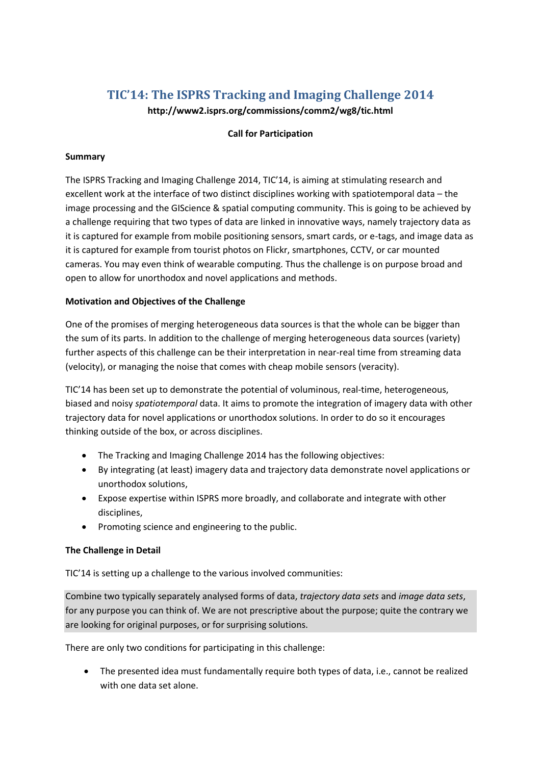# **TIC'14: The ISPRS Tracking and Imaging Challenge 2014**

**http://www2.isprs.org/commissions/comm2/wg8/tic.html**

#### **Call for Participation**

#### **Summary**

The ISPRS Tracking and Imaging Challenge 2014, TIC'14, is aiming at stimulating research and excellent work at the interface of two distinct disciplines working with spatiotemporal data – the image processing and the GIScience & spatial computing community. This is going to be achieved by a challenge requiring that two types of data are linked in innovative ways, namely trajectory data as it is captured for example from mobile positioning sensors, smart cards, or e-tags, and image data as it is captured for example from tourist photos on Flickr, smartphones, CCTV, or car mounted cameras. You may even think of wearable computing. Thus the challenge is on purpose broad and open to allow for unorthodox and novel applications and methods.

#### **Motivation and Objectives of the Challenge**

One of the promises of merging heterogeneous data sources is that the whole can be bigger than the sum of its parts. In addition to the challenge of merging heterogeneous data sources (variety) further aspects of this challenge can be their interpretation in near-real time from streaming data (velocity), or managing the noise that comes with cheap mobile sensors (veracity).

TIC'14 has been set up to demonstrate the potential of voluminous, real-time, heterogeneous, biased and noisy *spatiotemporal* data. It aims to promote the integration of imagery data with other trajectory data for novel applications or unorthodox solutions. In order to do so it encourages thinking outside of the box, or across disciplines.

- The Tracking and Imaging Challenge 2014 has the following objectives:
- By integrating (at least) imagery data and trajectory data demonstrate novel applications or unorthodox solutions,
- Expose expertise within ISPRS more broadly, and collaborate and integrate with other disciplines,
- Promoting science and engineering to the public.

## **The Challenge in Detail**

TIC'14 is setting up a challenge to the various involved communities:

Combine two typically separately analysed forms of data, *trajectory data sets* and *image data sets*, for any purpose you can think of. We are not prescriptive about the purpose; quite the contrary we are looking for original purposes, or for surprising solutions.

There are only two conditions for participating in this challenge:

 The presented idea must fundamentally require both types of data, i.e., cannot be realized with one data set alone.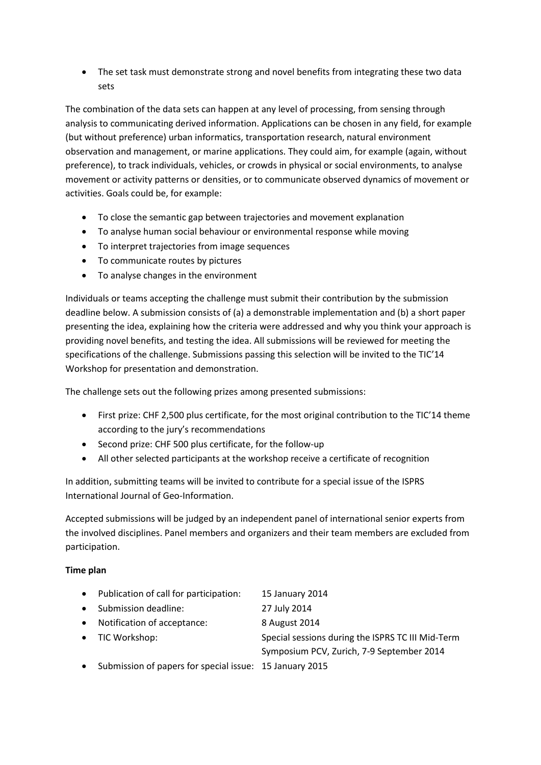• The set task must demonstrate strong and novel benefits from integrating these two data sets

The combination of the data sets can happen at any level of processing, from sensing through analysis to communicating derived information. Applications can be chosen in any field, for example (but without preference) urban informatics, transportation research, natural environment observation and management, or marine applications. They could aim, for example (again, without preference), to track individuals, vehicles, or crowds in physical or social environments, to analyse movement or activity patterns or densities, or to communicate observed dynamics of movement or activities. Goals could be, for example:

- To close the semantic gap between trajectories and movement explanation
- To analyse human social behaviour or environmental response while moving
- To interpret trajectories from image sequences
- To communicate routes by pictures
- To analyse changes in the environment

Individuals or teams accepting the challenge must submit their contribution by the submission deadline below. A submission consists of (a) a demonstrable implementation and (b) a short paper presenting the idea, explaining how the criteria were addressed and why you think your approach is providing novel benefits, and testing the idea. All submissions will be reviewed for meeting the specifications of the challenge. Submissions passing this selection will be invited to the TIC'14 Workshop for presentation and demonstration.

The challenge sets out the following prizes among presented submissions:

- First prize: CHF 2,500 plus certificate, for the most original contribution to the TIC'14 theme according to the jury's recommendations
- Second prize: CHF 500 plus certificate, for the follow-up
- All other selected participants at the workshop receive a certificate of recognition

In addition, submitting teams will be invited to contribute for a special issue of the ISPRS International Journal of Geo-Information.

Accepted submissions will be judged by an independent panel of international senior experts from the involved disciplines. Panel members and organizers and their team members are excluded from participation.

## **Time plan**

| $\bullet$ | Publication of call for participation:                  | 15 January 2014                                   |
|-----------|---------------------------------------------------------|---------------------------------------------------|
| $\bullet$ | Submission deadline:                                    | 27 July 2014                                      |
| $\bullet$ | Notification of acceptance:                             | 8 August 2014                                     |
|           | • TIC Workshop:                                         | Special sessions during the ISPRS TC III Mid-Term |
|           |                                                         | Symposium PCV, Zurich, 7-9 September 2014         |
| $\bullet$ | Submission of papers for special issue: 15 January 2015 |                                                   |